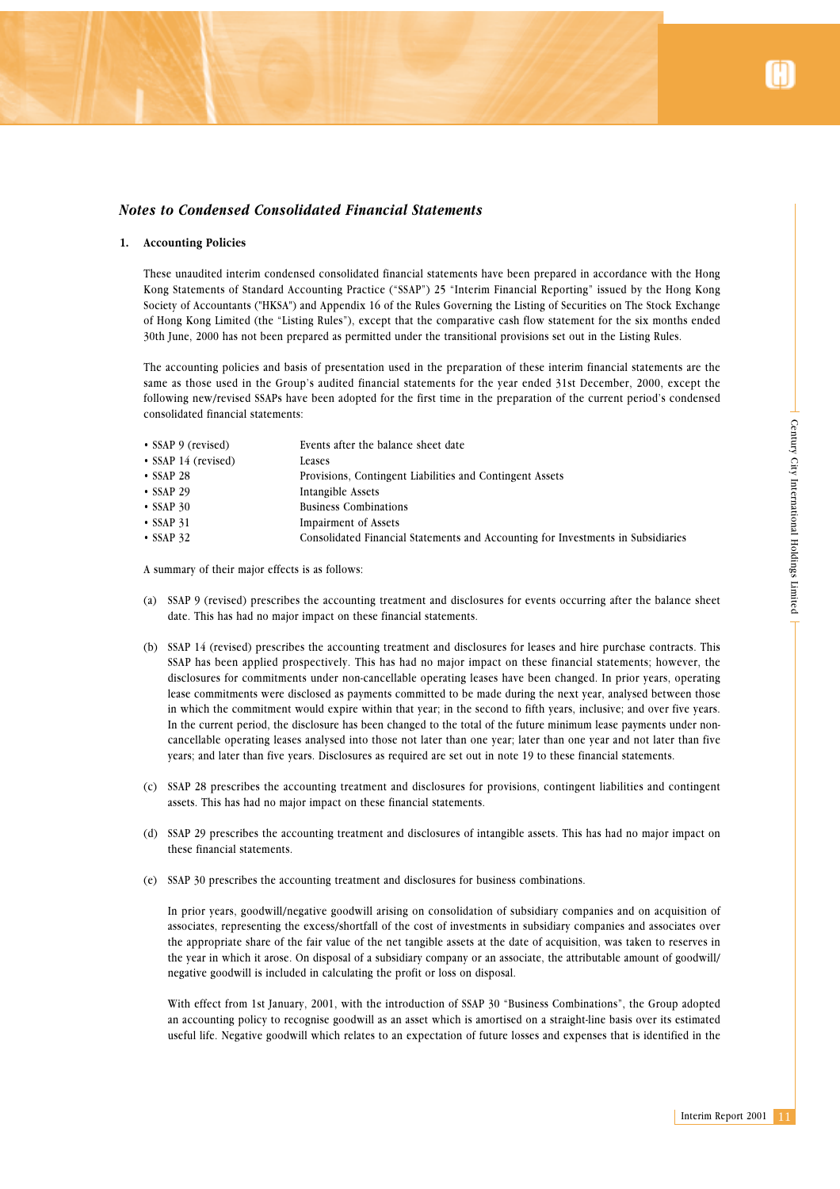## *Notes to Condensed Consolidated Financial Statements*

#### **1. Accounting Policies**

These unaudited interim condensed consolidated financial statements have been prepared in accordance with the Hong Kong Statements of Standard Accounting Practice ("SSAP") 25 "Interim Financial Reporting" issued by the Hong Kong Society of Accountants ("HKSA") and Appendix 16 of the Rules Governing the Listing of Securities on The Stock Exchange of Hong Kong Limited (the "Listing Rules"), except that the comparative cash flow statement for the six months ended 30th June, 2000 has not been prepared as permitted under the transitional provisions set out in the Listing Rules.

The accounting policies and basis of presentation used in the preparation of these interim financial statements are the same as those used in the Group's audited financial statements for the year ended 31st December, 2000, except the following new/revised SSAPs have been adopted for the first time in the preparation of the current period's condensed consolidated financial statements:

| • SSAP 9 (revised)        | Events after the balance sheet date                                              |
|---------------------------|----------------------------------------------------------------------------------|
| $\cdot$ SSAP 14 (revised) | Leases                                                                           |
| $\cdot$ SSAP 28           | Provisions, Contingent Liabilities and Contingent Assets                         |
| $\cdot$ SSAP 29           | Intangible Assets                                                                |
| $\cdot$ SSAP 30           | <b>Business Combinations</b>                                                     |
| $\cdot$ SSAP 31           | Impairment of Assets                                                             |
| $\cdot$ SSAP 32           | Consolidated Financial Statements and Accounting for Investments in Subsidiaries |
|                           |                                                                                  |

A summary of their major effects is as follows:

- (a) SSAP 9 (revised) prescribes the accounting treatment and disclosures for events occurring after the balance sheet date. This has had no major impact on these financial statements.
- The set of the set of the set of the pertury of the pertury of the pertury of the pertury of the pertury of the pertury of the pertury City International Holdings Limited Control and the line of the set of the set of the s (b) SSAP 14 (revised) prescribes the accounting treatment and disclosures for leases and hire purchase contracts. This SSAP has been applied prospectively. This has had no major impact on these financial statements; however, the disclosures for commitments under non-cancellable operating leases have been changed. In prior years, operating lease commitments were disclosed as payments committed to be made during the next year, analysed between those in which the commitment would expire within that year; in the second to fifth years, inclusive; and over five years. In the current period, the disclosure has been changed to the total of the future minimum lease payments under noncancellable operating leases analysed into those not later than one year; later than one year and not later than five years; and later than five years. Disclosures as required are set out in note 19 to these financial statements.
- (c) SSAP 28 prescribes the accounting treatment and disclosures for provisions, contingent liabilities and contingent assets. This has had no major impact on these financial statements.
- (d) SSAP 29 prescribes the accounting treatment and disclosures of intangible assets. This has had no major impact on these financial statements.
- (e) SSAP 30 prescribes the accounting treatment and disclosures for business combinations.

In prior years, goodwill/negative goodwill arising on consolidation of subsidiary companies and on acquisition of associates, representing the excess/shortfall of the cost of investments in subsidiary companies and associates over the appropriate share of the fair value of the net tangible assets at the date of acquisition, was taken to reserves in the year in which it arose. On disposal of a subsidiary company or an associate, the attributable amount of goodwill/ negative goodwill is included in calculating the profit or loss on disposal.

With effect from 1st January, 2001, with the introduction of SSAP 30 "Business Combinations", the Group adopted an accounting policy to recognise goodwill as an asset which is amortised on a straight-line basis over its estimated useful life. Negative goodwill which relates to an expectation of future losses and expenses that is identified in the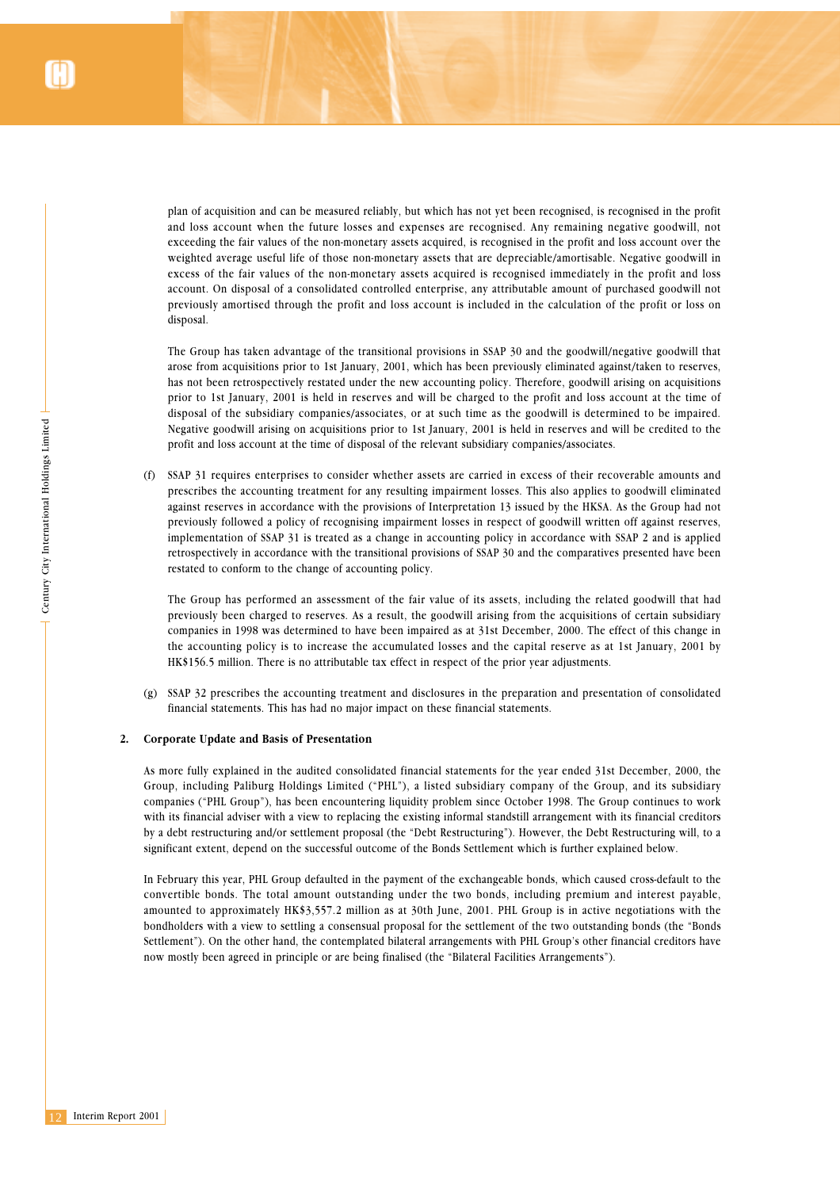plan of acquisition and can be measured reliably, but which has not yet been recognised, is recognised in the profit and loss account when the future losses and expenses are recognised. Any remaining negative goodwill, not exceeding the fair values of the non-monetary assets acquired, is recognised in the profit and loss account over the weighted average useful life of those non-monetary assets that are depreciable/amortisable. Negative goodwill in excess of the fair values of the non-monetary assets acquired is recognised immediately in the profit and loss account. On disposal of a consolidated controlled enterprise, any attributable amount of purchased goodwill not previously amortised through the profit and loss account is included in the calculation of the profit or loss on disposal.

The Group has taken advantage of the transitional provisions in SSAP 30 and the goodwill/negative goodwill that arose from acquisitions prior to 1st January, 2001, which has been previously eliminated against/taken to reserves, has not been retrospectively restated under the new accounting policy. Therefore, goodwill arising on acquisitions prior to 1st January, 2001 is held in reserves and will be charged to the profit and loss account at the time of disposal of the subsidiary companies/associates, or at such time as the goodwill is determined to be impaired. Negative goodwill arising on acquisitions prior to 1st January, 2001 is held in reserves and will be credited to the profit and loss account at the time of disposal of the relevant subsidiary companies/associates.

12 Interim Report 2001<br>
12 Interim Report 2001<br>
12 Interim Report 2001<br>
12 Interim Report 2001 (f) SSAP 31 requires enterprises to consider whether assets are carried in excess of their recoverable amounts and prescribes the accounting treatment for any resulting impairment losses. This also applies to goodwill eliminated against reserves in accordance with the provisions of Interpretation 13 issued by the HKSA. As the Group had not previously followed a policy of recognising impairment losses in respect of goodwill written off against reserves, implementation of SSAP 31 is treated as a change in accounting policy in accordance with SSAP 2 and is applied retrospectively in accordance with the transitional provisions of SSAP 30 and the comparatives presented have been restated to conform to the change of accounting policy.

The Group has performed an assessment of the fair value of its assets, including the related goodwill that had previously been charged to reserves. As a result, the goodwill arising from the acquisitions of certain subsidiary companies in 1998 was determined to have been impaired as at 31st December, 2000. The effect of this change in the accounting policy is to increase the accumulated losses and the capital reserve as at 1st January, 2001 by HK\$156.5 million. There is no attributable tax effect in respect of the prior year adjustments.

(g) SSAP 32 prescribes the accounting treatment and disclosures in the preparation and presentation of consolidated financial statements. This has had no major impact on these financial statements.

#### **2. Corporate Update and Basis of Presentation**

As more fully explained in the audited consolidated financial statements for the year ended 31st December, 2000, the Group, including Paliburg Holdings Limited ("PHL"), a listed subsidiary company of the Group, and its subsidiary companies ("PHL Group"), has been encountering liquidity problem since October 1998. The Group continues to work with its financial adviser with a view to replacing the existing informal standstill arrangement with its financial creditors by a debt restructuring and/or settlement proposal (the "Debt Restructuring"). However, the Debt Restructuring will, to a significant extent, depend on the successful outcome of the Bonds Settlement which is further explained below.

In February this year, PHL Group defaulted in the payment of the exchangeable bonds, which caused cross-default to the convertible bonds. The total amount outstanding under the two bonds, including premium and interest payable, amounted to approximately HK\$3,557.2 million as at 30th June, 2001. PHL Group is in active negotiations with the bondholders with a view to settling a consensual proposal for the settlement of the two outstanding bonds (the "Bonds Settlement"). On the other hand, the contemplated bilateral arrangements with PHL Group's other financial creditors have now mostly been agreed in principle or are being finalised (the "Bilateral Facilities Arrangements").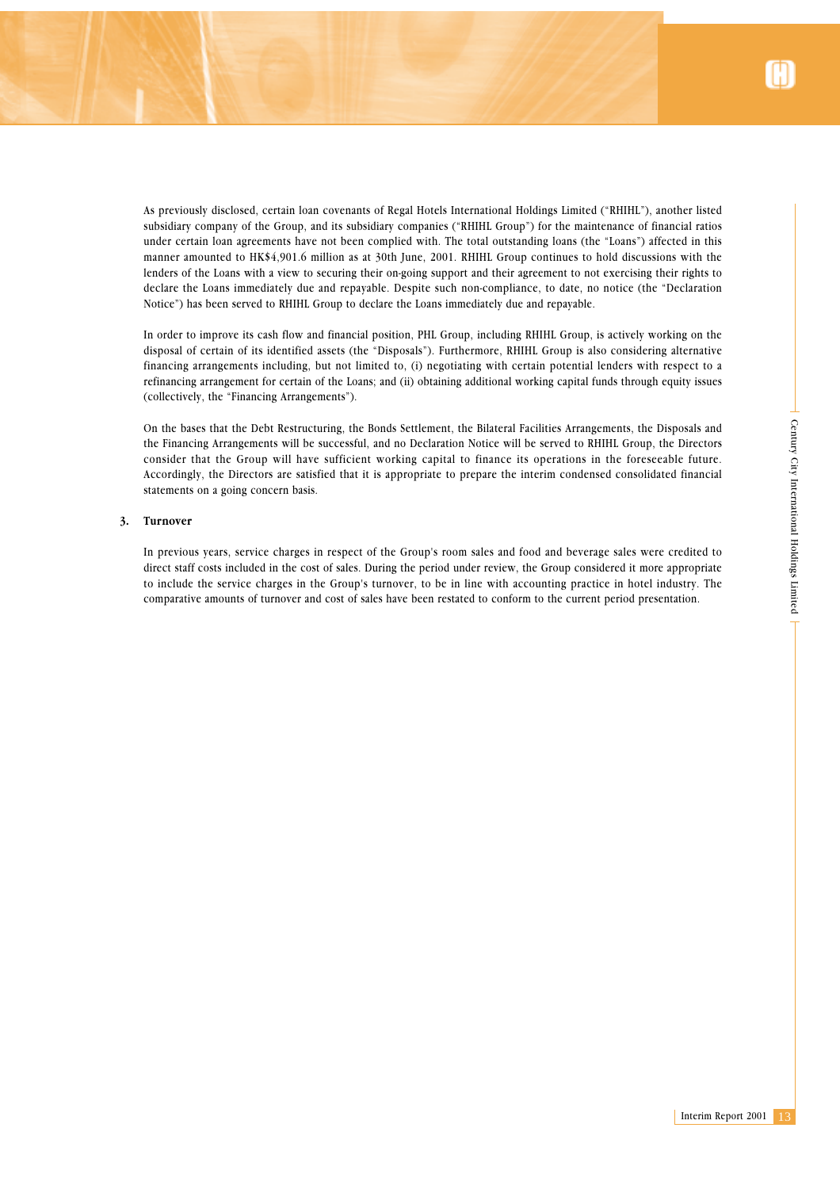

As previously disclosed, certain loan covenants of Regal Hotels International Holdings Limited ("RHIHL"), another listed subsidiary company of the Group, and its subsidiary companies ("RHIHL Group") for the maintenance of financial ratios under certain loan agreements have not been complied with. The total outstanding loans (the "Loans") affected in this manner amounted to HK\$4,901.6 million as at 30th June, 2001. RHIHL Group continues to hold discussions with the lenders of the Loans with a view to securing their on-going support and their agreement to not exercising their rights to declare the Loans immediately due and repayable. Despite such non-compliance, to date, no notice (the "Declaration Notice") has been served to RHIHL Group to declare the Loans immediately due and repayable.

In order to improve its cash flow and financial position, PHL Group, including RHIHL Group, is actively working on the disposal of certain of its identified assets (the "Disposals"). Furthermore, RHIHL Group is also considering alternative financing arrangements including, but not limited to, (i) negotiating with certain potential lenders with respect to a refinancing arrangement for certain of the Loans; and (ii) obtaining additional working capital funds through equity issues (collectively, the "Financing Arrangements").

Saals and<br>
Directors<br>
Enture.<br>
Enture.<br>
Entancial<br>
Edited to<br>
Propriate<br>
Edited to<br>
Propriate<br>
Simple Theory 2001<br>
The Sample Propriate<br>
Sample Theory 2001<br>
The Sample Transfer<br>
Contract Transfers<br>
The Sample Transfers<br>
Th On the bases that the Debt Restructuring, the Bonds Settlement, the Bilateral Facilities Arrangements, the Disposals and the Financing Arrangements will be successful, and no Declaration Notice will be served to RHIHL Group, the Directors consider that the Group will have sufficient working capital to finance its operations in the foreseeable future. Accordingly, the Directors are satisfied that it is appropriate to prepare the interim condensed consolidated financial statements on a going concern basis.

#### **3. Turnover**

In previous years, service charges in respect of the Group's room sales and food and beverage sales were credited to direct staff costs included in the cost of sales. During the period under review, the Group considered it more appropriate to include the service charges in the Group's turnover, to be in line with accounting practice in hotel industry. The comparative amounts of turnover and cost of sales have been restated to conform to the current period presentation.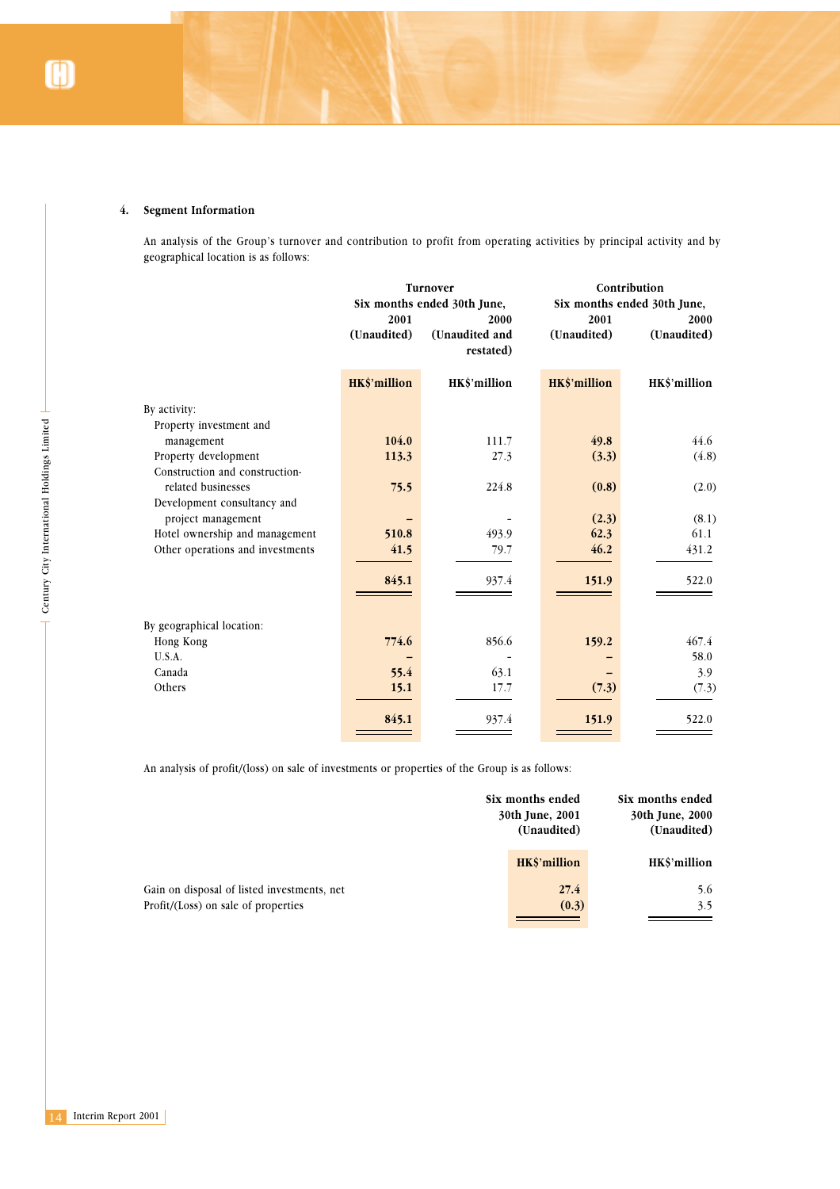# **4. Segment Information**

An analysis of the Group's turnover and contribution to profit from operating activities by principal activity and by geographical location is as follows:

|                                                                                                                                                          | 2001<br>(Unaudited)   | Turnover<br>Six months ended 30th June,<br>2000<br>(Unaudited and<br>restated) | 2001<br>(Unaudited)            | Contribution<br>Six months ended 30th June,<br>2000<br>(Unaudited) |
|----------------------------------------------------------------------------------------------------------------------------------------------------------|-----------------------|--------------------------------------------------------------------------------|--------------------------------|--------------------------------------------------------------------|
|                                                                                                                                                          | HK\$'million          | HK\$'million                                                                   | HK\$'million                   | HK\$'million                                                       |
| By activity:<br>Property investment and<br>management<br>Property development                                                                            | 104.0<br>113.3        | 111.7<br>27.3                                                                  | 49.8<br>(3.3)                  | 44.6<br>(4.8)                                                      |
| Century City International Holdings Limited<br>Construction and construction-<br>related businesses<br>Development consultancy and<br>project management | 75.5                  | 224.8                                                                          | (0.8)<br>(2.3)                 | (2.0)<br>(8.1)                                                     |
| Hotel ownership and management<br>Other operations and investments                                                                                       | 510.8<br>41.5         | 493.9<br>79.7                                                                  | 62.3<br>46.2                   | 61.1<br>431.2                                                      |
|                                                                                                                                                          | 845.1                 | 937.4                                                                          | 151.9                          | 522.0                                                              |
| By geographical location:<br>Hong Kong<br><b>U.S.A.</b><br>Canada<br>Others                                                                              | 774.6<br>55.4<br>15.1 | 856.6<br>63.1<br>17.7                                                          | 159.2<br>(7.3)                 | 467.4<br>58.0<br>3.9<br>(7.3)                                      |
|                                                                                                                                                          | 845.1                 | 937.4                                                                          | 151.9                          | 522.0                                                              |
| An analysis of profit/(loss) on sale of investments or properties of the Group is as follows:                                                            |                       | Six months ended                                                               | 30th June, 2001<br>(Unaudited) | Six months ended<br>30th June, 2000<br>(Unaudited)                 |
| Gain on disposal of listed investments, net<br>Profit/(Loss) on sale of properties                                                                       |                       |                                                                                | HK\$'million<br>27.4<br>(0.3)  | HK\$'million<br>5.6<br>3.5                                         |
|                                                                                                                                                          |                       |                                                                                |                                |                                                                    |
|                                                                                                                                                          |                       |                                                                                |                                |                                                                    |
|                                                                                                                                                          |                       |                                                                                |                                |                                                                    |
| Interim Report 2001                                                                                                                                      |                       |                                                                                |                                |                                                                    |

|                                             | Six months ended<br>30th June, 2001<br>(Unaudited) | Six months ended<br>30th June, 2000<br>(Unaudited) |  |
|---------------------------------------------|----------------------------------------------------|----------------------------------------------------|--|
|                                             | HK\$'million                                       | HK\$'million                                       |  |
| Gain on disposal of listed investments, net | 27.4                                               | 5.6                                                |  |
| Profit/(Loss) on sale of properties         | (0.3)                                              | 3.5                                                |  |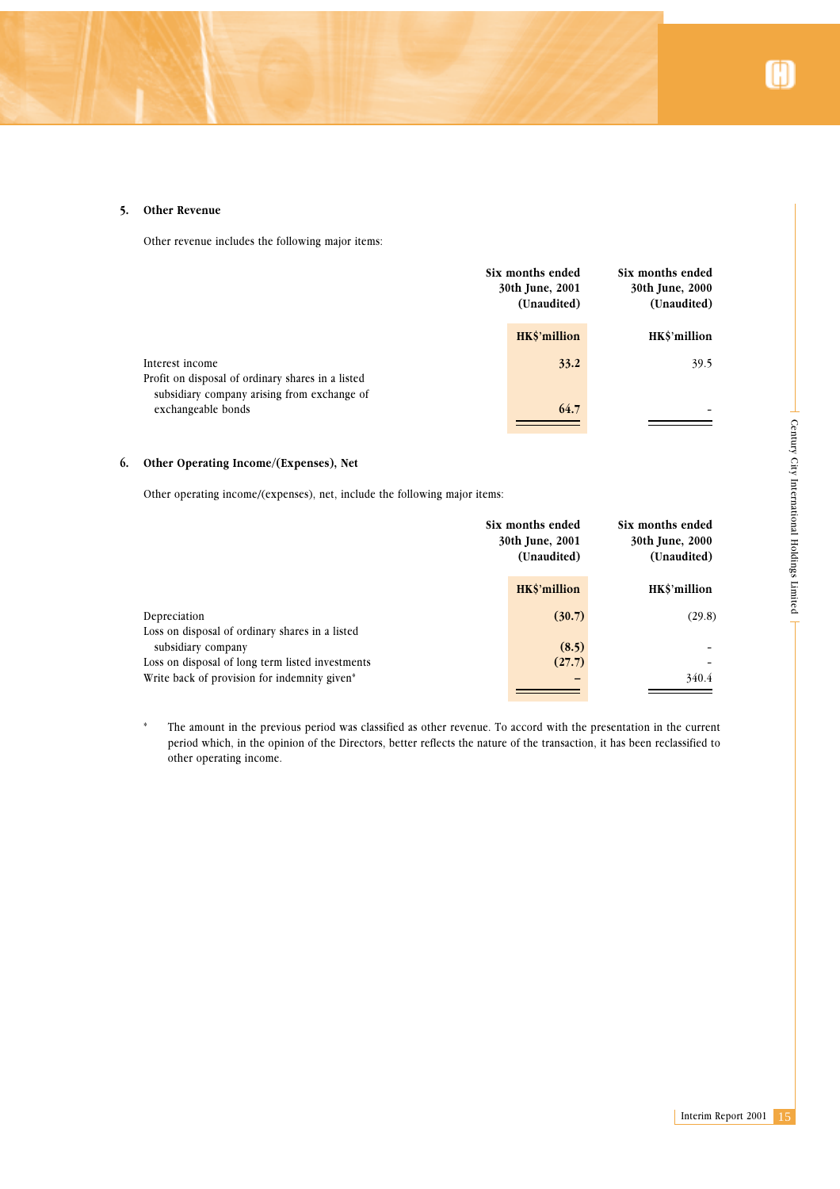# **5. Other Revenue**

Other revenue includes the following major items:

|                                                                                                                     | Six months ended<br>Six months ended<br>30th June, 2000<br>30th June, 2001<br>(Unaudited)<br>(Unaudited) |              |
|---------------------------------------------------------------------------------------------------------------------|----------------------------------------------------------------------------------------------------------|--------------|
|                                                                                                                     | HK\$'million                                                                                             | HK\$'million |
| Interest income<br>Profit on disposal of ordinary shares in a listed<br>subsidiary company arising from exchange of | 33.2                                                                                                     | 39.5         |
| exchangeable bonds                                                                                                  | 64.7                                                                                                     |              |

# **6. Other Operating Income/(Expenses), Net**

| Other Operating Income/(Expenses), Net                                                                                                                                                    |                                                    |                                                    |    |
|-------------------------------------------------------------------------------------------------------------------------------------------------------------------------------------------|----------------------------------------------------|----------------------------------------------------|----|
| Other operating income/(expenses), net, include the following major items:                                                                                                                |                                                    |                                                    |    |
|                                                                                                                                                                                           | Six months ended<br>30th June, 2001<br>(Unaudited) | Six months ended<br>30th June, 2000<br>(Unaudited) |    |
|                                                                                                                                                                                           | HK\$'million                                       | HK\$'million                                       |    |
| Depreciation<br>Loss on disposal of ordinary shares in a listed<br>subsidiary company<br>Loss on disposal of long term listed investments<br>Write back of provision for indemnity given* | (30.7)<br>(8.5)<br>(27.7)                          | (29.8)<br>340.4                                    |    |
| period which, in the opinion of the Directors, better reflects the nature of the transaction, it has been reclassified to<br>other operating income.                                      |                                                    |                                                    |    |
|                                                                                                                                                                                           |                                                    |                                                    |    |
|                                                                                                                                                                                           |                                                    |                                                    |    |
|                                                                                                                                                                                           |                                                    |                                                    |    |
|                                                                                                                                                                                           |                                                    | Interim Report 2001                                | 15 |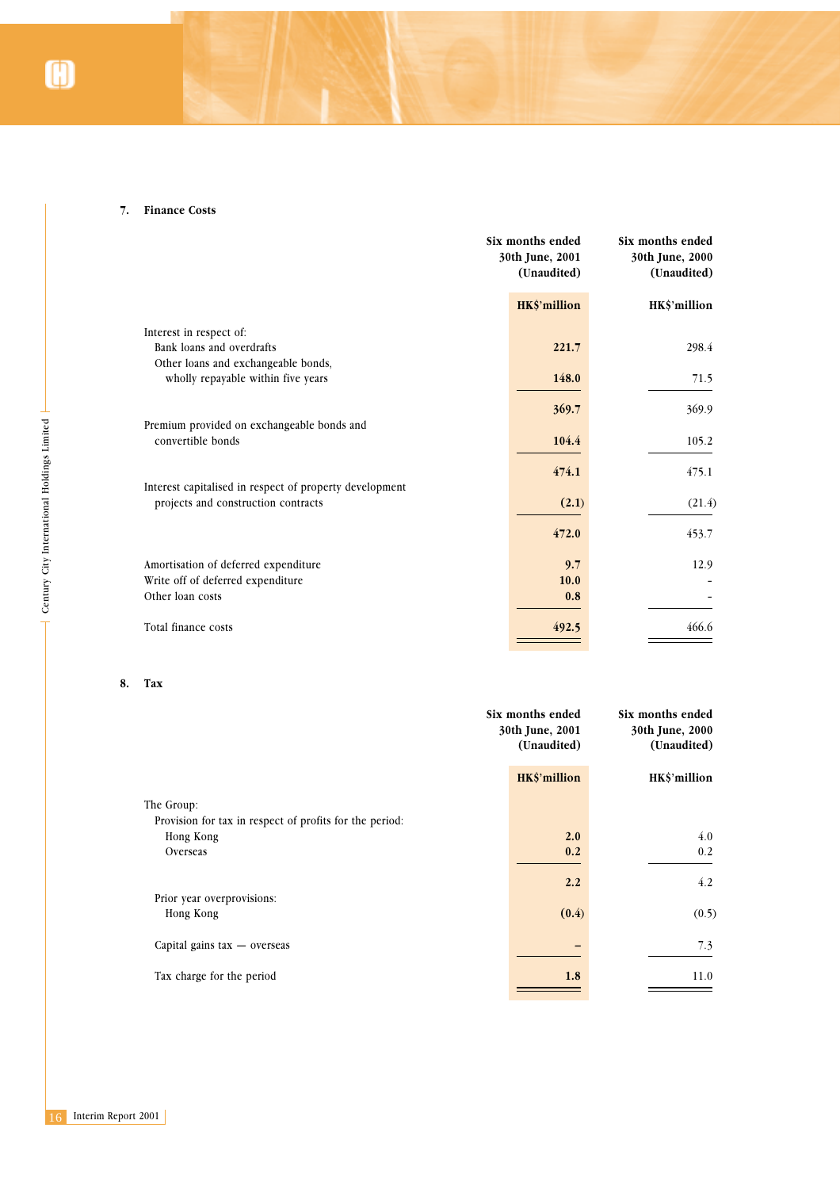### **7. Finance Costs**

| Six months ended<br>30th June, 2001<br>(Unaudited) | Six months ended<br>30th June, 2000<br>(Unaudited)       |
|----------------------------------------------------|----------------------------------------------------------|
| HK\$'million                                       | HK\$'million                                             |
|                                                    |                                                          |
| 221.7                                              | 298.4                                                    |
|                                                    |                                                          |
|                                                    | 71.5                                                     |
|                                                    | 369.9                                                    |
|                                                    |                                                          |
|                                                    | 105.2                                                    |
|                                                    | 475.1                                                    |
|                                                    |                                                          |
| (2.1)                                              | (21.4)                                                   |
|                                                    | 453.7                                                    |
|                                                    |                                                          |
| 9.7                                                | 12.9                                                     |
|                                                    |                                                          |
|                                                    |                                                          |
| 492.5                                              | 466.6                                                    |
|                                                    | 148.0<br>369.7<br>104.4<br>474.1<br>472.0<br>10.0<br>0.8 |

# **8. Tax**

|                                             | Premium provided on exchangeable bonds and<br>convertible bonds | 104.4                          | 105.2                          |
|---------------------------------------------|-----------------------------------------------------------------|--------------------------------|--------------------------------|
|                                             |                                                                 |                                |                                |
|                                             | Interest capitalised in respect of property development         | 474.1                          | 475.1                          |
|                                             | projects and construction contracts                             | (2.1)                          | (21.4)                         |
| Century City International Holdings Limited |                                                                 | 472.0                          | 453.7                          |
|                                             | Amortisation of deferred expenditure                            | 9.7                            | 12.9                           |
|                                             | Write off of deferred expenditure                               | $10.0$                         |                                |
|                                             | Other loan costs                                                | 0.8                            |                                |
|                                             | Total finance costs                                             | 492.5                          | 466.6                          |
| 8.                                          | Tax                                                             |                                |                                |
|                                             |                                                                 | Six months ended               | Six months ended               |
|                                             |                                                                 | 30th June, 2001<br>(Unaudited) | 30th June, 2000<br>(Unaudited) |
|                                             |                                                                 | HK\$'million                   | HK\$'million                   |
|                                             | The Group:                                                      |                                |                                |
|                                             | Provision for tax in respect of profits for the period:         |                                |                                |
|                                             | Hong Kong                                                       | 2.0                            | 4.0                            |
|                                             | Overseas                                                        | 0.2                            | $0.2\,$                        |
|                                             |                                                                 | 2.2                            | 4.2                            |
|                                             | Prior year overprovisions:                                      |                                |                                |
|                                             | Hong Kong                                                       | (0.4)                          | (0.5)                          |
|                                             | Capital gains tax - overseas                                    |                                | 7.3                            |
|                                             | Tax charge for the period                                       | $1.8$                          | 11.0                           |
|                                             |                                                                 |                                |                                |
|                                             |                                                                 |                                |                                |
|                                             |                                                                 |                                |                                |
|                                             |                                                                 |                                |                                |
|                                             |                                                                 |                                |                                |
|                                             |                                                                 |                                |                                |
| Interim Report 2001<br>16                   |                                                                 |                                |                                |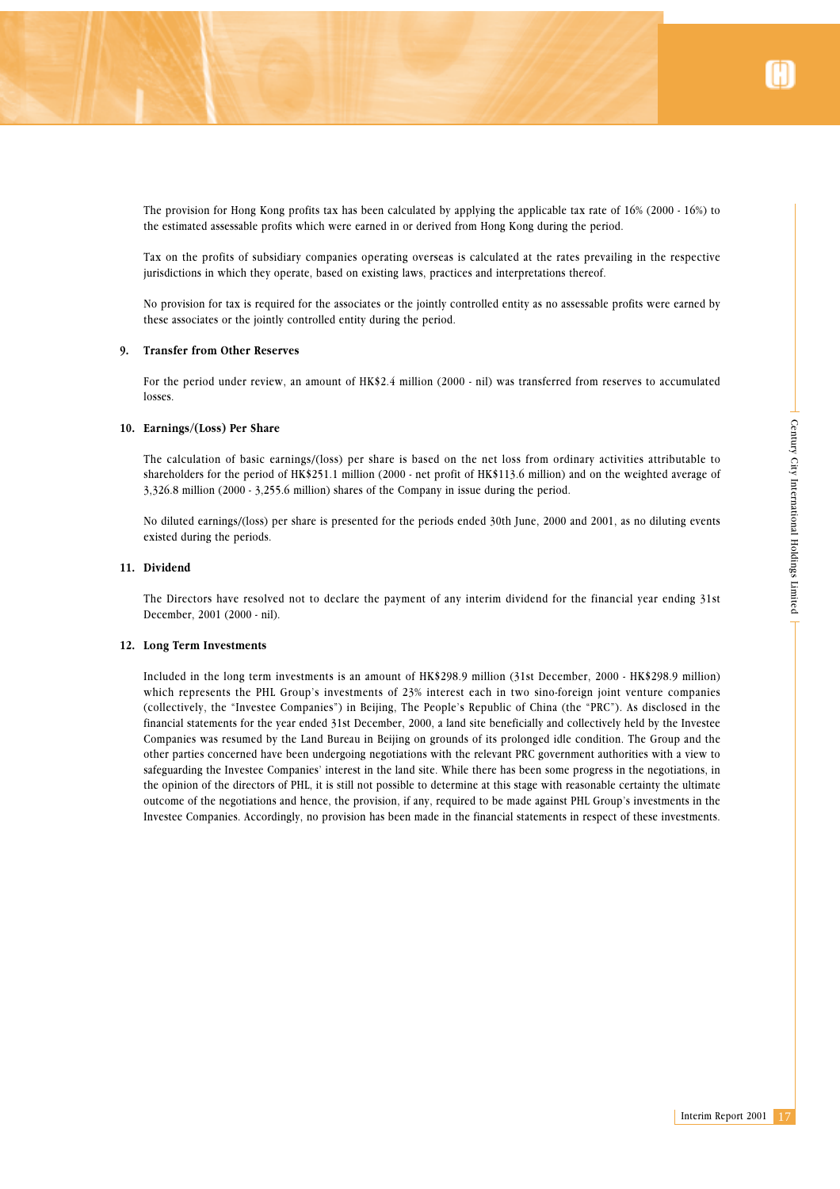Century City International Holdings Limited

The provision for Hong Kong profits tax has been calculated by applying the applicable tax rate of 16% (2000 - 16%) to the estimated assessable profits which were earned in or derived from Hong Kong during the period.

Tax on the profits of subsidiary companies operating overseas is calculated at the rates prevailing in the respective jurisdictions in which they operate, based on existing laws, practices and interpretations thereof.

No provision for tax is required for the associates or the jointly controlled entity as no assessable profits were earned by these associates or the jointly controlled entity during the period.

### **9. Transfer from Other Reserves**

For the period under review, an amount of HK\$2.4 million (2000 - nil) was transferred from reserves to accumulated losses.

#### **10. Earnings/(Loss) Per Share**

The calculation of basic earnings/(loss) per share is based on the net loss from ordinary activities attributable to shareholders for the period of HK\$251.1 million (2000 - net profit of HK\$113.6 million) and on the weighted average of 3,326.8 million (2000 - 3,255.6 million) shares of the Company in issue during the period.

No diluted earnings/(loss) per share is presented for the periods ended 30th June, 2000 and 2001, as no diluting events existed during the periods.

### **11. Dividend**

The Directors have resolved not to declare the payment of any interim dividend for the financial year ending 31st December, 2001 (2000 - nil).

#### **12. Long Term Investments**

table to<br>
erage of<br>
g events<br>
g events<br>
g events<br>
ing 31st<br>
ing 31st<br>
million)<br>
mpanies<br>
d in the<br>
Investee<br>
and the<br>
view to<br>
tions, in<br>
ultimate<br>
ts in the<br>
strements.<br>
Interim Report 2001 17 Included in the long term investments is an amount of HK\$298.9 million (31st December, 2000 - HK\$298.9 million) which represents the PHL Group's investments of 23% interest each in two sino-foreign joint venture companies (collectively, the "Investee Companies") in Beijing, The People's Republic of China (the "PRC"). As disclosed in the financial statements for the year ended 31st December, 2000, a land site beneficially and collectively held by the Investee Companies was resumed by the Land Bureau in Beijing on grounds of its prolonged idle condition. The Group and the other parties concerned have been undergoing negotiations with the relevant PRC government authorities with a view to safeguarding the Investee Companies' interest in the land site. While there has been some progress in the negotiations, in the opinion of the directors of PHL, it is still not possible to determine at this stage with reasonable certainty the ultimate outcome of the negotiations and hence, the provision, if any, required to be made against PHL Group's investments in the Investee Companies. Accordingly, no provision has been made in the financial statements in respect of these investments.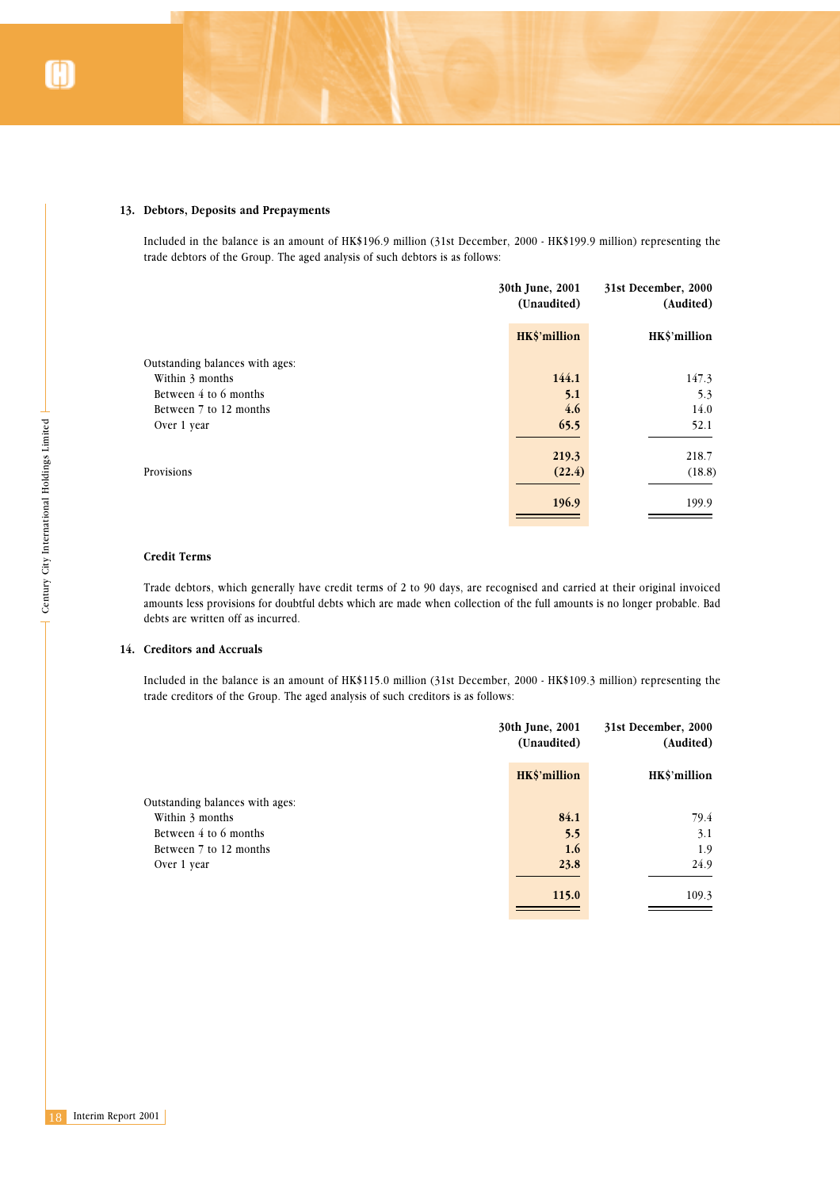### **13. Debtors, Deposits and Prepayments**

Included in the balance is an amount of HK\$196.9 million (31st December, 2000 - HK\$199.9 million) representing the trade debtors of the Group. The aged analysis of such debtors is as follows:

|                                 | 30th June, 2001<br>(Unaudited) |              |
|---------------------------------|--------------------------------|--------------|
|                                 | HK\$'million                   | HK\$'million |
| Outstanding balances with ages: |                                |              |
| Within 3 months                 | 144.1                          | 147.3        |
| Between 4 to 6 months           | 5.1                            | 5.3          |
| Between 7 to 12 months          | 4.6                            | 14.0         |
| Over 1 year                     | 65.5                           | 52.1         |
|                                 | 219.3                          | 218.7        |
| Provisions                      | (22.4)                         | (18.8)       |
|                                 | 196.9                          | 199.9        |

#### **Credit Terms**

# **14. Creditors and Accruals**

| Over 1 year                                                                                                                                                                                                                                                                                                                            | 65.5                           | 52.1                             |
|----------------------------------------------------------------------------------------------------------------------------------------------------------------------------------------------------------------------------------------------------------------------------------------------------------------------------------------|--------------------------------|----------------------------------|
|                                                                                                                                                                                                                                                                                                                                        | 219.3                          | 218.7                            |
| Provisions                                                                                                                                                                                                                                                                                                                             | (22.4)                         | (18.8)                           |
|                                                                                                                                                                                                                                                                                                                                        |                                |                                  |
|                                                                                                                                                                                                                                                                                                                                        | 196.9                          | 199.9                            |
|                                                                                                                                                                                                                                                                                                                                        |                                |                                  |
|                                                                                                                                                                                                                                                                                                                                        |                                |                                  |
| <b>Credit Terms</b>                                                                                                                                                                                                                                                                                                                    |                                |                                  |
| Century City International Holdings Limited<br>Trade debtors, which generally have credit terms of 2 to 90 days, are recognised and carried at their original invoice<br>amounts less provisions for doubtful debts which are made when collection of the full amounts is no longer probable. Ba<br>debts are written off as incurred. |                                |                                  |
| 14. Creditors and Accruals                                                                                                                                                                                                                                                                                                             |                                |                                  |
| Included in the balance is an amount of HK\$115.0 million (31st December, 2000 - HK\$109.3 million) representing the<br>trade creditors of the Group. The aged analysis of such creditors is as follows:                                                                                                                               |                                |                                  |
|                                                                                                                                                                                                                                                                                                                                        | 30th June, 2001<br>(Unaudited) | 31st December, 2000<br>(Audited) |
|                                                                                                                                                                                                                                                                                                                                        | HK\$'million                   | HK\$'million                     |
| Outstanding balances with ages:                                                                                                                                                                                                                                                                                                        |                                |                                  |
| Within 3 months                                                                                                                                                                                                                                                                                                                        | 84.1                           | 79.4                             |
| Between 4 to 6 months                                                                                                                                                                                                                                                                                                                  | 5.5                            | 3.1                              |
| Between 7 to 12 months                                                                                                                                                                                                                                                                                                                 | 1.6                            | 1.9                              |
| Over 1 year                                                                                                                                                                                                                                                                                                                            | 23.8                           | 24.9                             |
|                                                                                                                                                                                                                                                                                                                                        | 115.0                          | 109.3                            |
|                                                                                                                                                                                                                                                                                                                                        |                                |                                  |
|                                                                                                                                                                                                                                                                                                                                        |                                |                                  |
|                                                                                                                                                                                                                                                                                                                                        |                                |                                  |
|                                                                                                                                                                                                                                                                                                                                        |                                |                                  |
|                                                                                                                                                                                                                                                                                                                                        |                                |                                  |
|                                                                                                                                                                                                                                                                                                                                        |                                |                                  |
|                                                                                                                                                                                                                                                                                                                                        |                                |                                  |
|                                                                                                                                                                                                                                                                                                                                        |                                |                                  |
|                                                                                                                                                                                                                                                                                                                                        |                                |                                  |
| Interim Report 2001<br>18                                                                                                                                                                                                                                                                                                              |                                |                                  |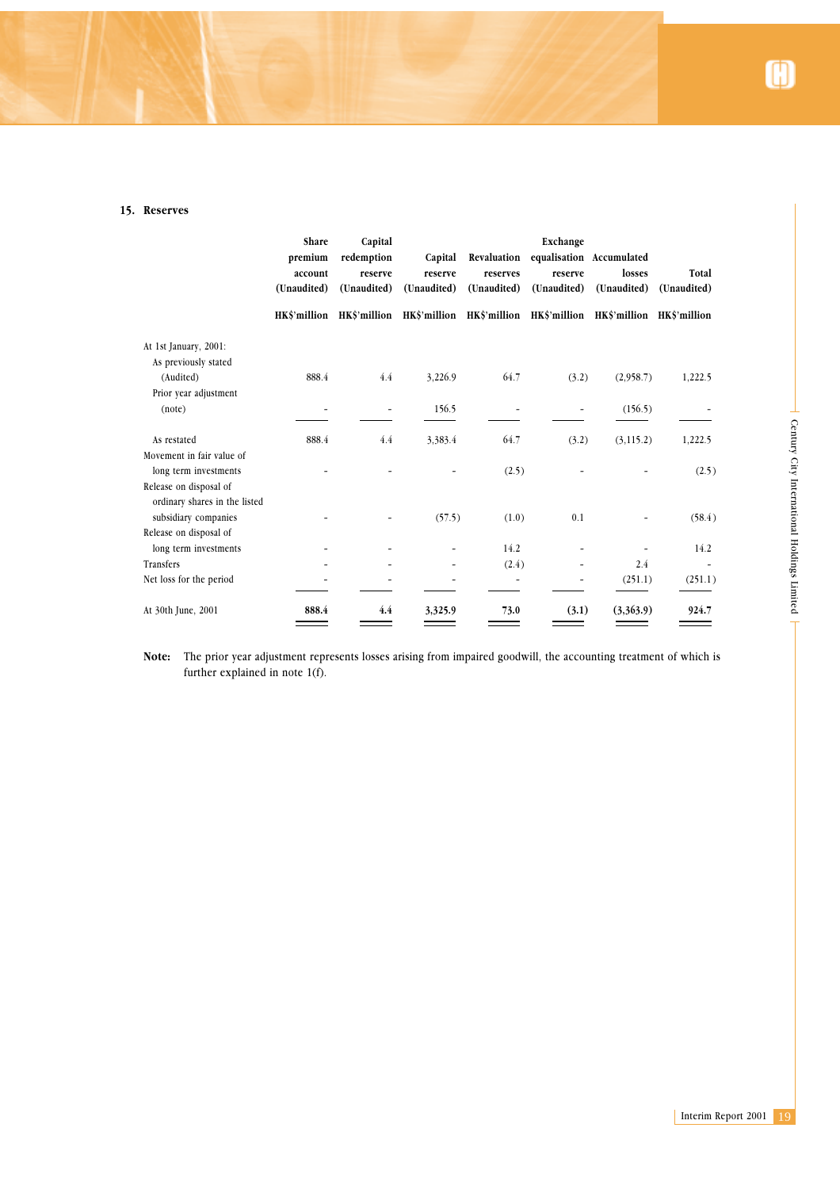# **15. Reserves**

|                                   | Share<br>premium<br>account<br>(Unaudited) | Capital<br>redemption<br>reserve<br>(Unaudited) | Capital<br>reserve<br>(Unaudited)                                                          | Revaluation<br>reserves<br>(Unaudited) | Exchange<br>equalisation Accumulated<br>reserve<br>(Unaudited) | losses<br>(Unaudited)    | Total<br>(Unaudited)     |  |
|-----------------------------------|--------------------------------------------|-------------------------------------------------|--------------------------------------------------------------------------------------------|----------------------------------------|----------------------------------------------------------------|--------------------------|--------------------------|--|
|                                   |                                            |                                                 | HK\$'million HK\$'million HK\$'million HK\$'million HK\$'million HK\$'million HK\$'million |                                        |                                                                |                          |                          |  |
| At 1st January, 2001:             |                                            |                                                 |                                                                                            |                                        |                                                                |                          |                          |  |
| As previously stated<br>(Audited) | $888.4\,$                                  | $4.4\,$                                         | 3,226.9                                                                                    | 64.7                                   | (3.2)                                                          | (2,958.7)                | 1,222.5                  |  |
| Prior year adjustment             |                                            |                                                 |                                                                                            |                                        |                                                                |                          |                          |  |
| (note)                            | $\overline{a}$                             | $\qquad \qquad \blacksquare$                    | 156.5                                                                                      | $\overline{\phantom{0}}$               | $\qquad \qquad \blacksquare$                                   | (156.5)                  |                          |  |
| As restated                       | $888.4\,$                                  | $4.4\,$                                         | 3,383.4                                                                                    | 64.7                                   | (3.2)                                                          | (3, 115.2)               | 1,222.5                  |  |
| Movement in fair value of         |                                            |                                                 |                                                                                            |                                        |                                                                |                          |                          |  |
| long term investments             |                                            |                                                 | $\overline{\phantom{a}}$                                                                   | (2.5)                                  |                                                                | L,                       | (2.5)                    |  |
| Release on disposal of            |                                            |                                                 |                                                                                            |                                        |                                                                |                          |                          |  |
| ordinary shares in the listed     |                                            |                                                 |                                                                                            |                                        |                                                                |                          |                          |  |
| subsidiary companies              | ÷,                                         | $\overline{a}$                                  | (57.5)                                                                                     | (1.0)                                  | $0.1\,$                                                        | $\overline{\phantom{0}}$ | (58.4)                   |  |
| Release on disposal of            |                                            |                                                 |                                                                                            |                                        |                                                                |                          |                          |  |
| long term investments             |                                            | $\overline{a}$                                  | $\overline{\phantom{a}}$                                                                   | 14.2                                   | $\qquad \qquad \blacksquare$                                   | $\overline{\phantom{0}}$ | $14.2\,$                 |  |
| Transfers                         |                                            |                                                 | $\overline{\phantom{m}}$                                                                   | (2.4)                                  | $\overline{\phantom{a}}$                                       | $2.4\,$                  | $\overline{\phantom{a}}$ |  |
| Net loss for the period           |                                            |                                                 | $\overline{\phantom{m}}$                                                                   | $\Box$                                 | $\overline{\phantom{a}}$                                       | (251.1)                  | (251.1)                  |  |
| At 30th June, 2001                | 888.4                                      | 4.4                                             | 3,325.9                                                                                    | 73.0                                   | (3.1)                                                          | (3,363.9)                | 924.7                    |  |
|                                   |                                            |                                                 |                                                                                            |                                        |                                                                |                          |                          |  |
|                                   |                                            |                                                 |                                                                                            |                                        |                                                                |                          |                          |  |
|                                   |                                            |                                                 |                                                                                            |                                        |                                                                |                          |                          |  |
|                                   |                                            |                                                 |                                                                                            |                                        |                                                                |                          |                          |  |
|                                   |                                            |                                                 |                                                                                            |                                        |                                                                |                          |                          |  |
|                                   |                                            |                                                 |                                                                                            |                                        |                                                                |                          |                          |  |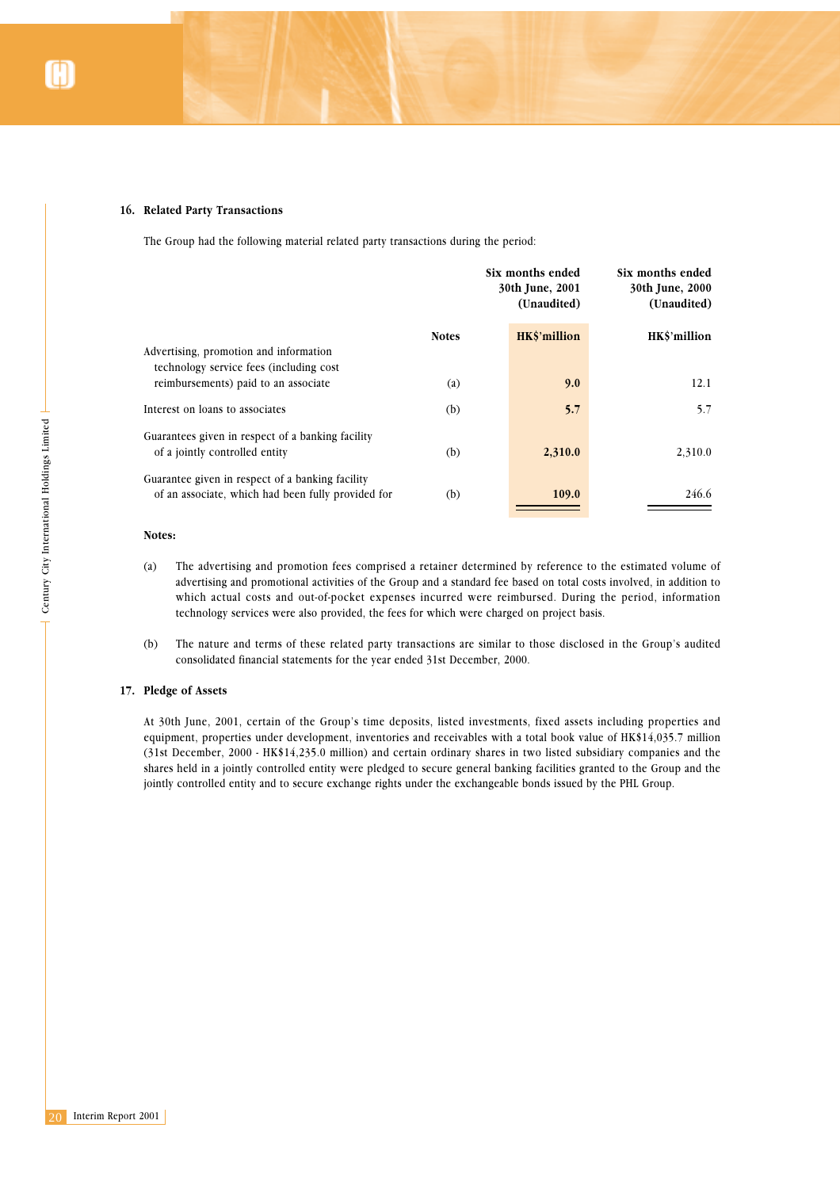### **16. Related Party Transactions**

The Group had the following material related party transactions during the period:

|                                                                                                        | Six months ended<br>30th June, 2001<br>(Unaudited) |              | Six months ended<br>30th June, 2000<br>(Unaudited) |  |
|--------------------------------------------------------------------------------------------------------|----------------------------------------------------|--------------|----------------------------------------------------|--|
|                                                                                                        | <b>Notes</b>                                       | HK\$'million | HK\$'million                                       |  |
| Advertising, promotion and information<br>technology service fees (including cost                      |                                                    |              |                                                    |  |
| reimbursements) paid to an associate                                                                   | (a)                                                | 9.0          | 12.1                                               |  |
| Interest on loans to associates                                                                        | (b)                                                | 5.7          | 5.7                                                |  |
| Guarantees given in respect of a banking facility<br>of a jointly controlled entity                    | (b)                                                | 2,310.0      | 2,310.0                                            |  |
| Guarantee given in respect of a banking facility<br>of an associate, which had been fully provided for | (b)                                                | 109.0        | 246.6                                              |  |

### **Notes:**

- (a) The advertising and promotion fees comprised a retainer determined by reference to the estimated volume of advertising and promotional activities of the Group and a standard fee based on total costs involved, in addition to which actual costs and out-of-pocket expenses incurred were reimbursed. During the period, information technology services were also provided, the fees for which were charged on project basis.
- (b) The nature and terms of these related party transactions are similar to those disclosed in the Group's audited consolidated financial statements for the year ended 31st December, 2000.

### **17. Pledge of Assets**

At 30th June, 2001, certain of the Group's time deposits, listed investments, fixed assets including properties and equipment, properties under development, inventories and receivables with a total book value of HK\$14,035.7 million (31st December, 2000 - HK\$14,235.0 million) and certain ordinary shares in two listed subsidiary companies and the shares held in a jointly controlled entity were pledged to secure general banking facilities granted to the Group and the jointly controlled entity and to secure exchange rights under the exchangeable bonds issued by the PHL Group.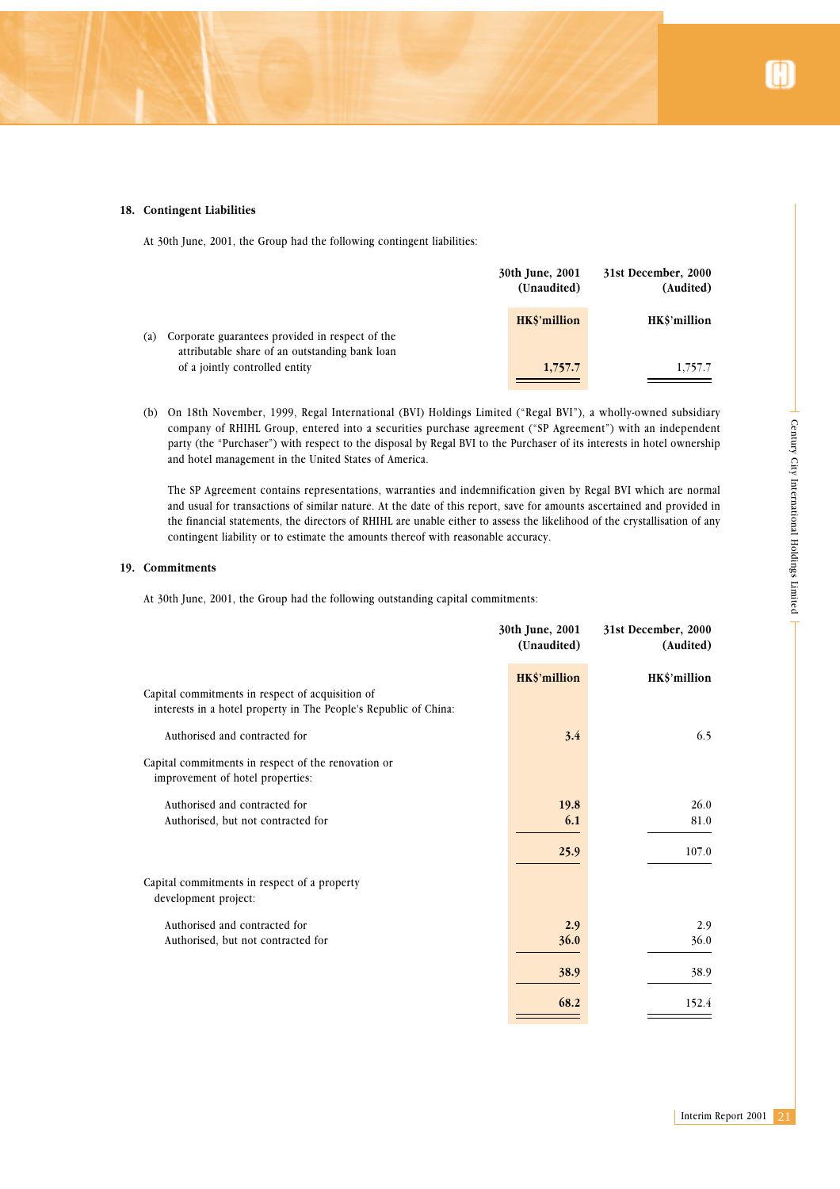### **18. Contingent Liabilities**

At 30th June, 2001, the Group had the following contingent liabilities:

|                   |                                                                                                   | 30th June, 2001<br>(Unaudited) | 31st December, 2000<br>(Audited) |
|-------------------|---------------------------------------------------------------------------------------------------|--------------------------------|----------------------------------|
| $\left( a\right)$ | Corporate guarantees provided in respect of the<br>attributable share of an outstanding bank loan | HK\$'million                   | HKS'million                      |
|                   | of a jointly controlled entity                                                                    | 1,757.7                        | 1,757.7                          |

(b) On 18th November, 1999, Regal International (BVI) Holdings Limited ("Regal BVI"), a wholly-owned subsidiary company of RHIHL Group, entered into a securities purchase agreement ("SP Agreement") with an independent party (the "Purchaser") with respect to the disposal by Regal BVI to the Purchaser of its interests in hotel ownership and hotel management in the United States of America.

### **19. Commitments**

| company of RHIHL Group, entered into a securities purchase agreement ("SP Agreement") with an independent<br>party (the "Purchaser") with respect to the disposal by Regal BVI to the Purchaser of its interests in hotel ownership<br>and hotel management in the United States of America.                                                                                                                                                              |                                |                                  |                                             |
|-----------------------------------------------------------------------------------------------------------------------------------------------------------------------------------------------------------------------------------------------------------------------------------------------------------------------------------------------------------------------------------------------------------------------------------------------------------|--------------------------------|----------------------------------|---------------------------------------------|
| The SP Agreement contains representations, warranties and indemnification given by Regal BVI which are normal<br>and usual for transactions of similar nature. At the date of this report, save for amounts ascertained and provided in<br>the financial statements, the directors of RHIHL are unable either to assess the likelihood of the crystallisation of any<br>contingent liability or to estimate the amounts thereof with reasonable accuracy. |                                |                                  | Century City International Holdings Limited |
| Commitments                                                                                                                                                                                                                                                                                                                                                                                                                                               |                                |                                  |                                             |
| At 30th June, 2001, the Group had the following outstanding capital commitments:                                                                                                                                                                                                                                                                                                                                                                          |                                |                                  |                                             |
|                                                                                                                                                                                                                                                                                                                                                                                                                                                           | 30th June, 2001<br>(Unaudited) | 31st December, 2000<br>(Audited) |                                             |
|                                                                                                                                                                                                                                                                                                                                                                                                                                                           | HK\$'million                   | HK\$'million                     |                                             |
| Capital commitments in respect of acquisition of<br>interests in a hotel property in The People's Republic of China:                                                                                                                                                                                                                                                                                                                                      |                                |                                  |                                             |
| Authorised and contracted for                                                                                                                                                                                                                                                                                                                                                                                                                             | 3.4                            | 6.5                              |                                             |
| Capital commitments in respect of the renovation or<br>improvement of hotel properties:                                                                                                                                                                                                                                                                                                                                                                   |                                |                                  |                                             |
| Authorised and contracted for                                                                                                                                                                                                                                                                                                                                                                                                                             | 19.8                           | 26.0                             |                                             |
| Authorised, but not contracted for                                                                                                                                                                                                                                                                                                                                                                                                                        | 6.1                            | 81.0                             |                                             |
|                                                                                                                                                                                                                                                                                                                                                                                                                                                           | 25.9                           | 107.0                            |                                             |
| Capital commitments in respect of a property<br>development project:                                                                                                                                                                                                                                                                                                                                                                                      |                                |                                  |                                             |
| Authorised and contracted for                                                                                                                                                                                                                                                                                                                                                                                                                             | 2.9                            | 2.9                              |                                             |
| Authorised, but not contracted for                                                                                                                                                                                                                                                                                                                                                                                                                        | 36.0                           | 36.0                             |                                             |
|                                                                                                                                                                                                                                                                                                                                                                                                                                                           | 38.9                           | 38.9                             |                                             |
|                                                                                                                                                                                                                                                                                                                                                                                                                                                           | 68.2                           | 152.4                            |                                             |
|                                                                                                                                                                                                                                                                                                                                                                                                                                                           |                                |                                  |                                             |
|                                                                                                                                                                                                                                                                                                                                                                                                                                                           |                                |                                  |                                             |
|                                                                                                                                                                                                                                                                                                                                                                                                                                                           |                                |                                  |                                             |
|                                                                                                                                                                                                                                                                                                                                                                                                                                                           |                                | Interim Report 2001              | 21                                          |